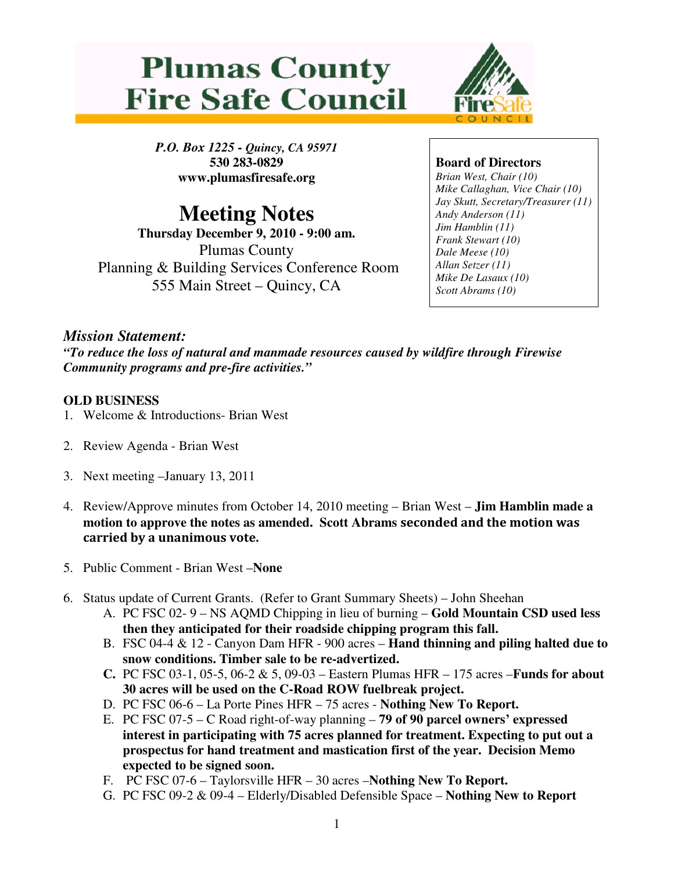



*P.O. Box 1225 - Quincy, CA 95971*  **530 283-0829 www.plumasfiresafe.org** 

# **Meeting Notes**

**Thursday December 9, 2010 - 9:00 am.**  Plumas County Planning & Building Services Conference Room 555 Main Street – Quincy, CA

## **Board of Directors**

*Brian West, Chair (10) Mike Callaghan, Vice Chair (10) Jay Skutt, Secretary/Treasurer (11) Andy Anderson (11) Jim Hamblin (11) Frank Stewart (10) Dale Meese (10) Allan Setzer (11) Mike De Lasaux (10) Scott Abrams (10)*

# *Mission Statement:*

*"To reduce the loss of natural and manmade resources caused by wildfire through Firewise Community programs and pre-fire activities."* 

### **OLD BUSINESS**

- 1. Welcome & Introductions- Brian West
- 2. Review Agenda Brian West
- 3. Next meeting –January 13, 2011
- 4. Review/Approve minutes from October 14, 2010 meeting Brian West **Jim Hamblin made a motion to approve the notes as amended. Scott Abrams** seconded and the motion was carried by a unanimous vote.
- 5. Public Comment Brian West –**None**
- 6. Status update of Current Grants. (Refer to Grant Summary Sheets) John Sheehan
	- A. PC FSC 02- 9 NS AQMD Chipping in lieu of burning **Gold Mountain CSD used less then they anticipated for their roadside chipping program this fall.**
	- B. FSC 04-4 & 12 Canyon Dam HFR 900 acres **Hand thinning and piling halted due to snow conditions. Timber sale to be re-advertized.**
	- **C.** PC FSC 03-1, 05-5, 06-2 & 5, 09-03 Eastern Plumas HFR 175 acres –**Funds for about 30 acres will be used on the C-Road ROW fuelbreak project.**
	- D. PC FSC 06-6 La Porte Pines HFR 75 acres **Nothing New To Report.**
	- E. PC FSC 07-5 C Road right-of-way planning – **79 of 90 parcel owners' expressed interest in participating with 75 acres planned for treatment. Expecting to put out a prospectus for hand treatment and mastication first of the year. Decision Memo expected to be signed soon.**
	- F. PC FSC 07-6 Taylorsville HFR 30 acres –**Nothing New To Report.**
	- G. PC FSC 09-2 & 09-4 Elderly/Disabled Defensible Space – **Nothing New to Report**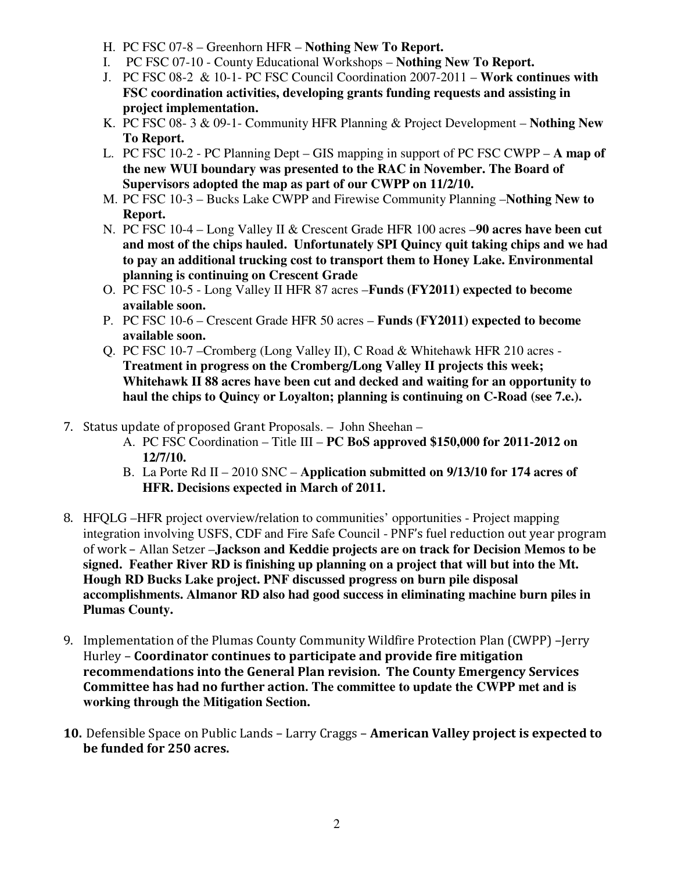- H. PC FSC 07-8 Greenhorn HFR **Nothing New To Report.**
- I. PC FSC 07-10 County Educational Workshops – **Nothing New To Report.**
- J. PC FSC 08-2 & 10-1- PC FSC Council Coordination 2007-2011 **Work continues with FSC coordination activities, developing grants funding requests and assisting in project implementation.**
- K. PC FSC 08- 3 & 09-1- Community HFR Planning & Project Development – **Nothing New To Report.**
- L. PC FSC 10-2 PC Planning Dept GIS mapping in support of PC FSC CWPP **A map of the new WUI boundary was presented to the RAC in November. The Board of Supervisors adopted the map as part of our CWPP on 11/2/10.**
- M. PC FSC 10-3 Bucks Lake CWPP and Firewise Community Planning –**Nothing New to Report.**
- N. PC FSC 10-4 Long Valley II & Crescent Grade HFR 100 acres –**90 acres have been cut and most of the chips hauled. Unfortunately SPI Quincy quit taking chips and we had to pay an additional trucking cost to transport them to Honey Lake. Environmental planning is continuing on Crescent Grade**
- O. PC FSC 10-5 Long Valley II HFR 87 acres –**Funds (FY2011) expected to become available soon.**
- P. PC FSC 10-6 Crescent Grade HFR 50 acres – **Funds (FY2011) expected to become available soon.**
- Q. PC FSC 10-7 –Cromberg (Long Valley II), C Road & Whitehawk HFR 210 acres **Treatment in progress on the Cromberg/Long Valley II projects this week; Whitehawk II 88 acres have been cut and decked and waiting for an opportunity to haul the chips to Quincy or Loyalton; planning is continuing on C-Road (see 7.e.).**
- 7. Status update of proposed Grant Proposals. John Sheehan
	- A. PC FSC Coordination Title III **PC BoS approved \$150,000 for 2011-2012 on 12/7/10.**
	- B. La Porte Rd II 2010 SNC **Application submitted on 9/13/10 for 174 acres of HFR. Decisions expected in March of 2011.**
- 8. HFQLG –HFR project overview/relation to communities' opportunities Project mapping integration involving USFS, CDF and Fire Safe Council - PNF's fuel reduction out year program of work – Allan Setzer –**Jackson and Keddie projects are on track for Decision Memos to be signed. Feather River RD is finishing up planning on a project that will but into the Mt. Hough RD Bucks Lake project. PNF discussed progress on burn pile disposal accomplishments. Almanor RD also had good success in eliminating machine burn piles in Plumas County.**
- 9. Implementation of the Plumas County Community Wildfire Protection Plan (CWPP) –Jerry Hurley – Coordinator continues to participate and provide fire mitigation recommendations into the General Plan revision. The County Emergency Services Committee has had no further action. **The committee to update the CWPP met and is working through the Mitigation Section.**
- 10. Defensible Space on Public Lands Larry Craggs American Valley project is expected to be funded for 250 acres.